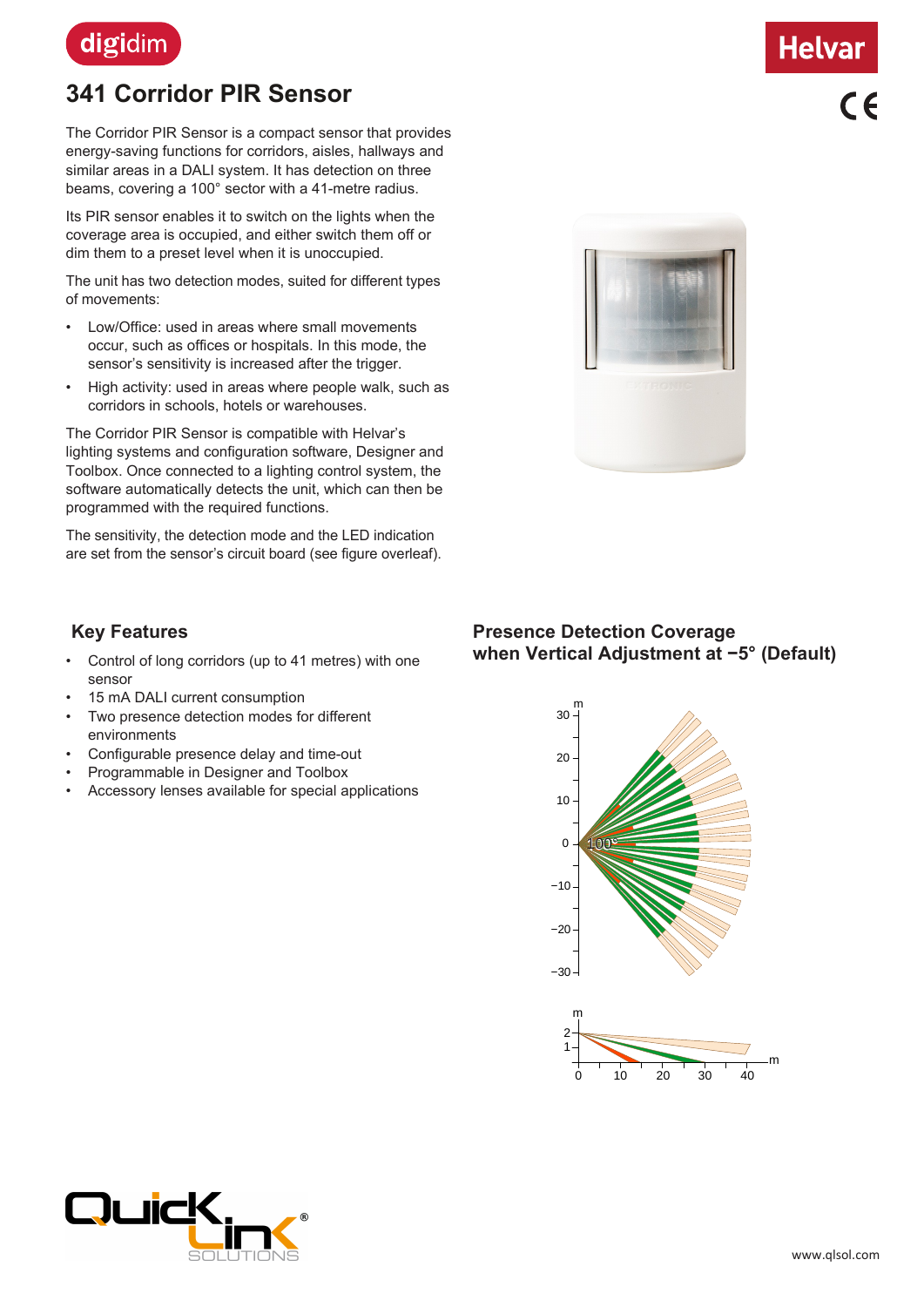

# **341 Corridor PIR Sensor**

The Corridor PIR Sensor is a compact sensor that provides energy-saving functions for corridors, aisles, hallways and similar areas in a DALI system. It has detection on three beams, covering a 100° sector with a 41-metre radius.

Its PIR sensor enables it to switch on the lights when the coverage area is occupied, and either switch them off or dim them to a preset level when it is unoccupied.

The unit has two detection modes, suited for different types of movements:

- Low/Office: used in areas where small movements occur, such as offices or hospitals. In this mode, the sensor's sensitivity is increased after the trigger.
- High activity: used in areas where people walk, such as corridors in schools, hotels or warehouses.

The Corridor PIR Sensor is compatible with Helvar's lighting systems and configuration software, Designer and Toolbox. Once connected to a lighting control system, the software automatically detects the unit, which can then be programmed with the required functions.

The sensitivity, the detection mode and the LED indication are set from the sensor's circuit board (see figure overleaf).

# **Key Features**

- Control of long corridors (up to 41 metres) with one sensor
- 15 mA DALI current consumption
- Two presence detection modes for different environments
- Configurable presence delay and time-out
- Programmable in Designer and Toolbox
- Accessory lenses available for special applications



# **Presence Detection Coverage when Vertical Adjustment at −5° (Default)**







 $c \in$